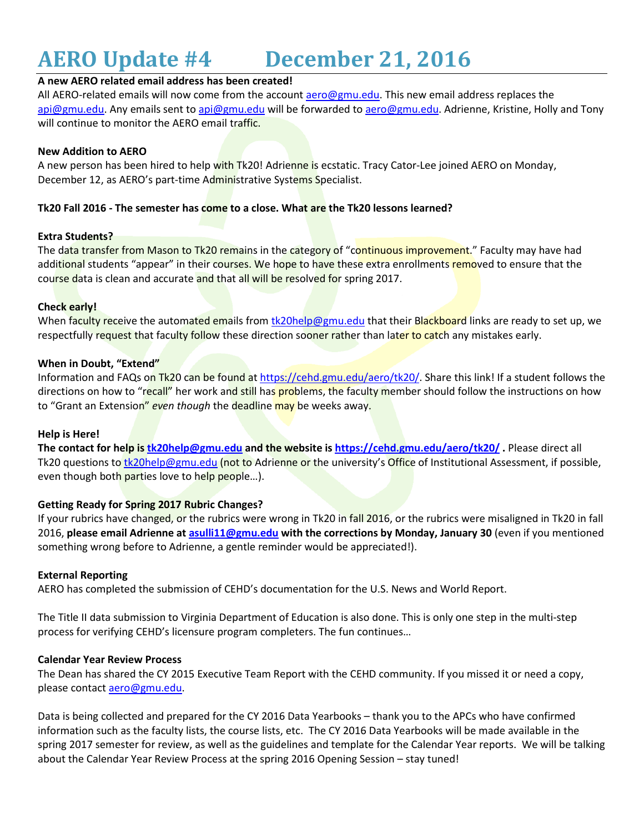# **AERO Update #4 December 21, 2016**

# **A new AERO related email address has been created!**

All AERO-related emails will now come from the account [aero@gmu.edu.](mailto:aero@gmu.edu) This new email address replaces the [api@gmu.edu.](mailto:api@gmu.edu) Any emails sent to [api@gmu.edu](mailto:api@gmu.edu) will be forwarded t[o aero@gmu.edu.](mailto:aero@gmu.edu) Adrienne, Kristine, Holly and Tony will continue to monitor the AERO email traffic.

#### **New Addition to AERO**

A new person has been hired to help with Tk20! Adrienne is ecstatic. Tracy Cator-Lee joined AERO on Monday, December 12, as AERO's part-time Administrative Systems Specialist.

# **Tk20 Fall 2016 - The semester has come to a close. What are the Tk20 lessons learned?**

## **Extra Students?**

The data transfer from Mason to Tk20 remains in the category of "continuous improvement." Faculty may have had additional students "appear" in their courses. We hope to have these extra enrollments removed to ensure that the course data is clean and accurate and that all will be resolved for spring 2017.

## **Check early!**

When faculty receive the automated emails from [tk20help@gmu.edu](mailto:tk20help@gmu.edu) that their Blackboard links are ready to set up, we respectfully request that faculty follow these direction sooner rather than later to catch any mistakes early.

## **When in Doubt, "Extend"**

Information and FAQs on Tk20 can be found at [https://cehd.gmu.edu/aero/tk20/.](https://cehd.gmu.edu/aero/tk20/) Share this link! If a student follows the directions on how to "recall" her work and still has problems, the faculty member should follow the instructions on how to "Grant an Extension" *even though* the deadline may be weeks away.

## **Help is Here!**

**The contact for help is [tk20help@gmu.edu](mailto:tk20help@gmu.edu) and the website i[s https://cehd.gmu.edu/aero/tk20/](https://cehd.gmu.edu/aero/tk20/) .** Please direct all Tk20 questions to [tk20help@gmu.edu](mailto:tk20help@gmu.edu) (not to Adrienne or the university's Office of Institutional Assessment, if possible, even though both parties love to help people...).

## **Getting Ready for Spring 2017 Rubric Changes?**

If your rubrics have changed, or the rubrics were wrong in Tk20 in fall 2016, or the rubrics were misaligned in Tk20 in fall 2016, **please email Adrienne a[t asulli11@gmu.edu](mailto:asulli11@gmu.edu) with the corrections by Monday, January 30** (even if you mentioned something wrong before to Adrienne, a gentle reminder would be appreciated!).

#### **External Reporting**

AERO has completed the submission of CEHD's documentation for the U.S. News and World Report.

The Title II data submission to Virginia Department of Education is also done. This is only one step in the multi-step process for verifying CEHD's licensure program completers. The fun continues…

#### **Calendar Year Review Process**

The Dean has shared the CY 2015 Executive Team Report with the CEHD community. If you missed it or need a copy, please contact **aero@gmu.edu**.

Data is being collected and prepared for the CY 2016 Data Yearbooks – thank you to the APCs who have confirmed information such as the faculty lists, the course lists, etc. The CY 2016 Data Yearbooks will be made available in the spring 2017 semester for review, as well as the guidelines and template for the Calendar Year reports. We will be talking about the Calendar Year Review Process at the spring 2016 Opening Session – stay tuned!